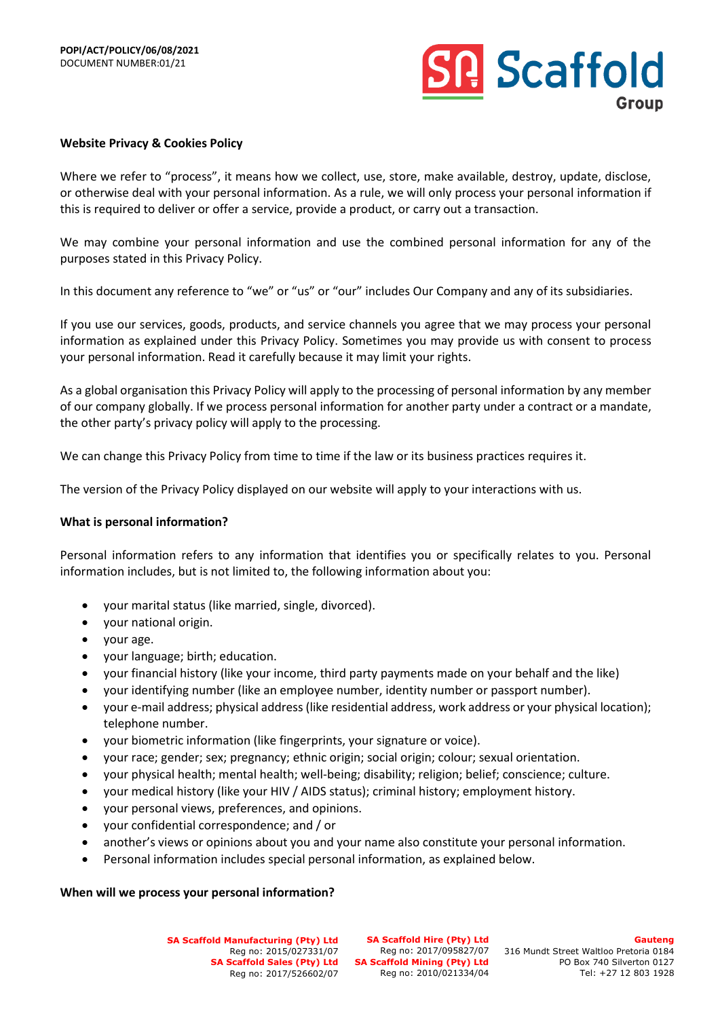

#### **Website Privacy & Cookies Policy**

Where we refer to "process", it means how we collect, use, store, make available, destroy, update, disclose, or otherwise deal with your personal information. As a rule, we will only process your personal information if this is required to deliver or offer a service, provide a product, or carry out a transaction.

We may combine your personal information and use the combined personal information for any of the purposes stated in this Privacy Policy.

In this document any reference to "we" or "us" or "our" includes Our Company and any of its subsidiaries.

If you use our services, goods, products, and service channels you agree that we may process your personal information as explained under this Privacy Policy. Sometimes you may provide us with consent to process your personal information. Read it carefully because it may limit your rights.

As a global organisation this Privacy Policy will apply to the processing of personal information by any member of our company globally. If we process personal information for another party under a contract or a mandate, the other party's privacy policy will apply to the processing.

We can change this Privacy Policy from time to time if the law or its business practices requires it.

The version of the Privacy Policy displayed on our website will apply to your interactions with us.

#### **What is personal information?**

Personal information refers to any information that identifies you or specifically relates to you. Personal information includes, but is not limited to, the following information about you:

- your marital status (like married, single, divorced).
- your national origin.
- your age.
- your language; birth; education.
- your financial history (like your income, third party payments made on your behalf and the like)
- your identifying number (like an employee number, identity number or passport number).
- your e-mail address; physical address (like residential address, work address or your physical location); telephone number.
- your biometric information (like fingerprints, your signature or voice).
- your race; gender; sex; pregnancy; ethnic origin; social origin; colour; sexual orientation.
- your physical health; mental health; well-being; disability; religion; belief; conscience; culture.
- your medical history (like your HIV / AIDS status); criminal history; employment history.
- your personal views, preferences, and opinions.
- your confidential correspondence; and / or
- another's views or opinions about you and your name also constitute your personal information.
- Personal information includes special personal information, as explained below.

#### **When will we process your personal information?**

**SA Scaffold Manufacturing (Pty) Ltd** Reg no: 2015/027331/07 Reg no: 2017/526602/07

**SA Scaffold Hire (Pty) Ltd** SA Scaffold Sales (Pty) Ltd SA Scaffold Mining (Pty) Ltd Reg no: 2010/021334/04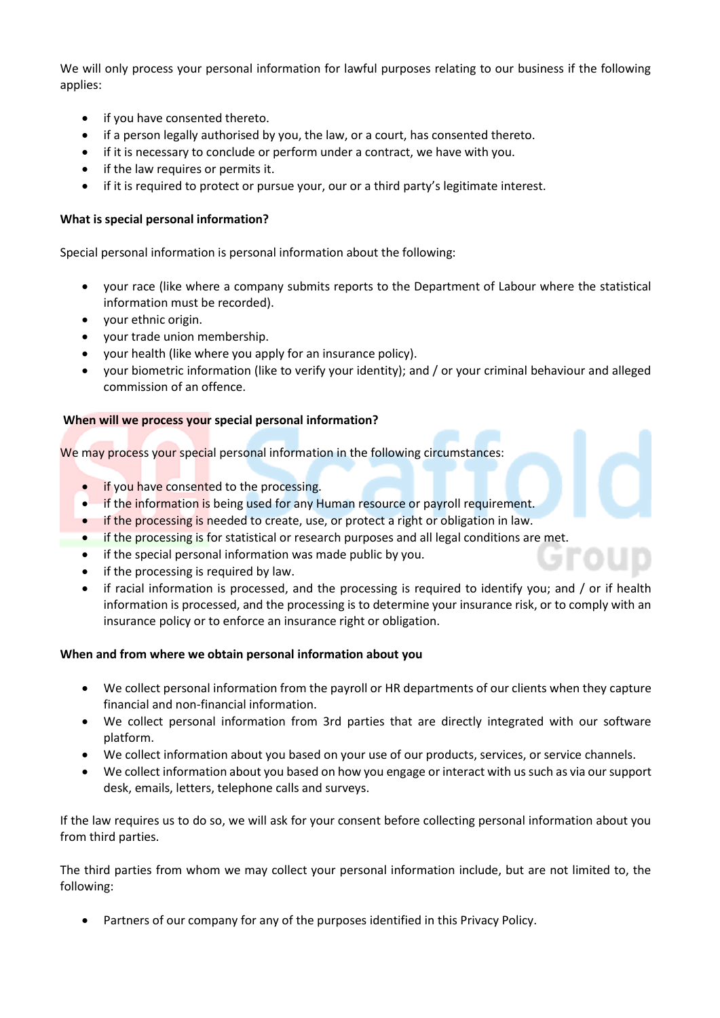We will only process your personal information for lawful purposes relating to our business if the following applies:

- if you have consented thereto.
- if a person legally authorised by you, the law, or a court, has consented thereto.
- if it is necessary to conclude or perform under a contract, we have with you.
- if the law requires or permits it.
- if it is required to protect or pursue your, our or a third party's legitimate interest.

# **What is special personal information?**

Special personal information is personal information about the following:

- your race (like where a company submits reports to the Department of Labour where the statistical information must be recorded).
- your ethnic origin.
- your trade union membership.
- your health (like where you apply for an insurance policy).
- your biometric information (like to verify your identity); and / or your criminal behaviour and alleged commission of an offence.

## **When will we process your special personal information?**

We may process your special personal information in the following circumstances:

- if you have consented to the processing.
- if the information is being used for any Human resource or payroll requirement.
- if the processing is needed to create, use, or protect a right or obligation in law.
- if the processing is for statistical or research purposes and all legal conditions are met.
- if the special personal information was made public by you.
- if the processing is required by law.
- if racial information is processed, and the processing is required to identify you; and / or if health information is processed, and the processing is to determine your insurance risk, or to comply with an insurance policy or to enforce an insurance right or obligation.

## **When and from where we obtain personal information about you**

- We collect personal information from the payroll or HR departments of our clients when they capture financial and non-financial information.
- We collect personal information from 3rd parties that are directly integrated with our software platform.
- We collect information about you based on your use of our products, services, or service channels.
- We collect information about you based on how you engage or interact with us such as via our support desk, emails, letters, telephone calls and surveys.

If the law requires us to do so, we will ask for your consent before collecting personal information about you from third parties.

The third parties from whom we may collect your personal information include, but are not limited to, the following:

• Partners of our company for any of the purposes identified in this Privacy Policy.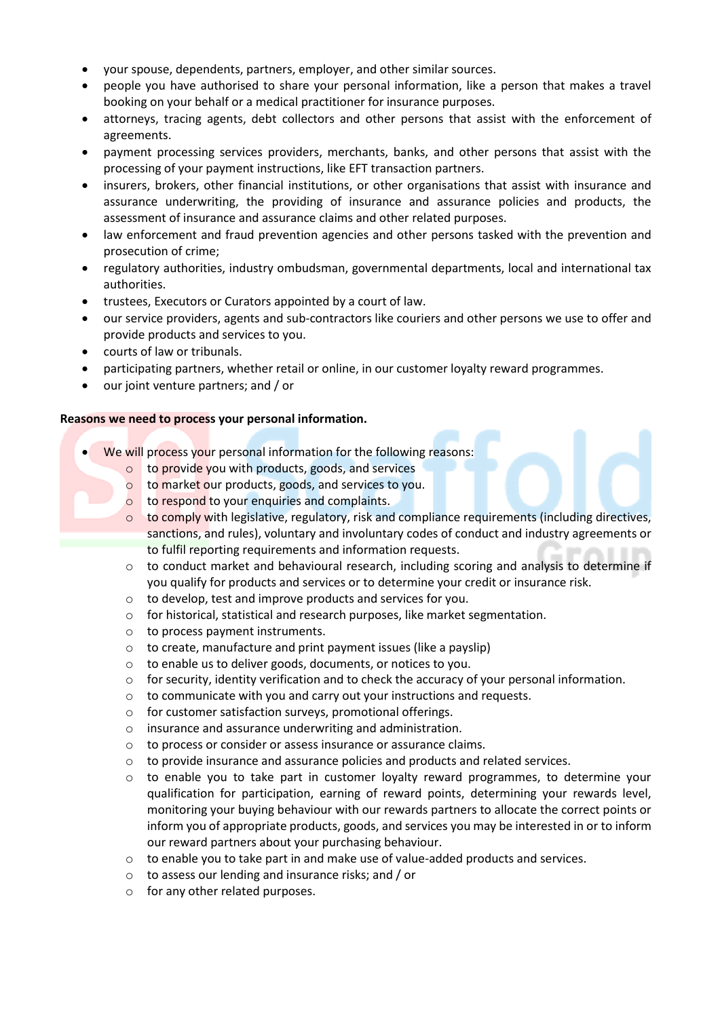- your spouse, dependents, partners, employer, and other similar sources.
- people you have authorised to share your personal information, like a person that makes a travel booking on your behalf or a medical practitioner for insurance purposes.
- attorneys, tracing agents, debt collectors and other persons that assist with the enforcement of agreements.
- payment processing services providers, merchants, banks, and other persons that assist with the processing of your payment instructions, like EFT transaction partners.
- insurers, brokers, other financial institutions, or other organisations that assist with insurance and assurance underwriting, the providing of insurance and assurance policies and products, the assessment of insurance and assurance claims and other related purposes.
- law enforcement and fraud prevention agencies and other persons tasked with the prevention and prosecution of crime;
- regulatory authorities, industry ombudsman, governmental departments, local and international tax authorities.
- trustees, Executors or Curators appointed by a court of law.
- our service providers, agents and sub-contractors like couriers and other persons we use to offer and provide products and services to you.
- courts of law or tribunals.
- participating partners, whether retail or online, in our customer loyalty reward programmes.
- our joint venture partners; and / or

## **Reasons we need to process your personal information.**

- We will process your personal information for the following reasons:
	- o to provide you with products, goods, and services
	- o to market our products, goods, and services to you.
	- o to respond to your enquiries and complaints.
	- $\circ$  to comply with legislative, regulatory, risk and compliance requirements (including directives, sanctions, and rules), voluntary and involuntary codes of conduct and industry agreements or to fulfil reporting requirements and information requests.
	- $\circ$  to conduct market and behavioural research, including scoring and analysis to determine if you qualify for products and services or to determine your credit or insurance risk.
	- o to develop, test and improve products and services for you.
	- o for historical, statistical and research purposes, like market segmentation.
	- o to process payment instruments.
	- o to create, manufacture and print payment issues (like a payslip)
	- o to enable us to deliver goods, documents, or notices to you.
	- o for security, identity verification and to check the accuracy of your personal information.
	- o to communicate with you and carry out your instructions and requests.
	- o for customer satisfaction surveys, promotional offerings.
	- o insurance and assurance underwriting and administration.
	- o to process or consider or assess insurance or assurance claims.
	- $\circ$  to provide insurance and assurance policies and products and related services.
	- $\circ$  to enable you to take part in customer loyalty reward programmes, to determine your qualification for participation, earning of reward points, determining your rewards level, monitoring your buying behaviour with our rewards partners to allocate the correct points or inform you of appropriate products, goods, and services you may be interested in or to inform our reward partners about your purchasing behaviour.
	- o to enable you to take part in and make use of value-added products and services.
	- o to assess our lending and insurance risks; and / or
	- o for any other related purposes.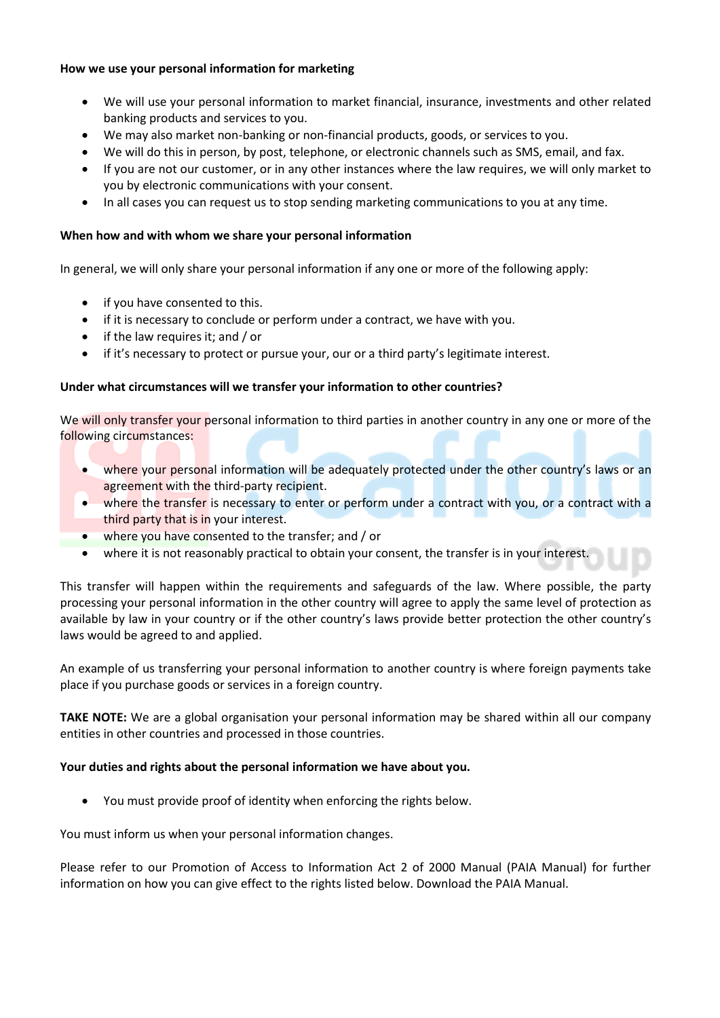## **How we use your personal information for marketing**

- We will use your personal information to market financial, insurance, investments and other related banking products and services to you.
- We may also market non-banking or non-financial products, goods, or services to you.
- We will do this in person, by post, telephone, or electronic channels such as SMS, email, and fax.
- If you are not our customer, or in any other instances where the law requires, we will only market to you by electronic communications with your consent.
- In all cases you can request us to stop sending marketing communications to you at any time.

## **When how and with whom we share your personal information**

In general, we will only share your personal information if any one or more of the following apply:

- if you have consented to this.
- if it is necessary to conclude or perform under a contract, we have with you.
- if the law requires it; and / or
- if it's necessary to protect or pursue your, our or a third party's legitimate interest.

## **Under what circumstances will we transfer your information to other countries?**

We will only transfer your personal information to third parties in another country in any one or more of the following circumstances:

- where your personal information will be adequately protected under the other country's laws or an agreement with the third-party recipient.
- where the transfer is necessary to enter or perform under a contract with you, or a contract with a third party that is in your interest.
- where you have consented to the transfer; and / or
- where it is not reasonably practical to obtain your consent, the transfer is in your interest.

This transfer will happen within the requirements and safeguards of the law. Where possible, the party processing your personal information in the other country will agree to apply the same level of protection as available by law in your country or if the other country's laws provide better protection the other country's laws would be agreed to and applied.

An example of us transferring your personal information to another country is where foreign payments take place if you purchase goods or services in a foreign country.

**TAKE NOTE:** We are a global organisation your personal information may be shared within all our company entities in other countries and processed in those countries.

## **Your duties and rights about the personal information we have about you.**

• You must provide proof of identity when enforcing the rights below.

You must inform us when your personal information changes.

Please refer to our Promotion of Access to Information Act 2 of 2000 Manual (PAIA Manual) for further information on how you can give effect to the rights listed below. Download the PAIA Manual.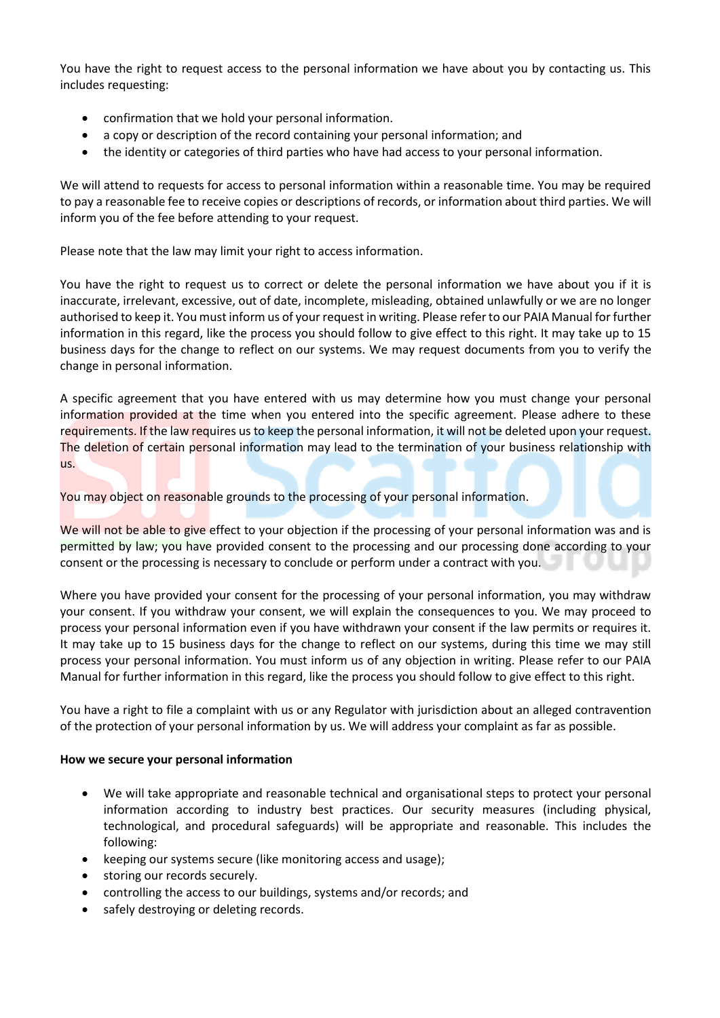You have the right to request access to the personal information we have about you by contacting us. This includes requesting:

- confirmation that we hold your personal information.
- a copy or description of the record containing your personal information; and
- the identity or categories of third parties who have had access to your personal information.

We will attend to requests for access to personal information within a reasonable time. You may be required to pay a reasonable fee to receive copies or descriptions of records, or information about third parties. We will inform you of the fee before attending to your request.

Please note that the law may limit your right to access information.

You have the right to request us to correct or delete the personal information we have about you if it is inaccurate, irrelevant, excessive, out of date, incomplete, misleading, obtained unlawfully or we are no longer authorised to keep it. You must inform us of your request in writing. Please refer to our PAIA Manual for further information in this regard, like the process you should follow to give effect to this right. It may take up to 15 business days for the change to reflect on our systems. We may request documents from you to verify the change in personal information.

A specific agreement that you have entered with us may determine how you must change your personal information provided at the time when you entered into the specific agreement. Please adhere to these requirements. If the law requires us to keep the personal information, it will not be deleted upon your request. The deletion of certain personal information may lead to the termination of your business relationship with us.

You may object on reasonable grounds to the processing of your personal information.

We will not be able to give effect to your objection if the processing of your personal information was and is permitted by law; you have provided consent to the processing and our processing done according to your consent or the processing is necessary to conclude or perform under a contract with you.

Where you have provided your consent for the processing of your personal information, you may withdraw your consent. If you withdraw your consent, we will explain the consequences to you. We may proceed to process your personal information even if you have withdrawn your consent if the law permits or requires it. It may take up to 15 business days for the change to reflect on our systems, during this time we may still process your personal information. You must inform us of any objection in writing. Please refer to our PAIA Manual for further information in this regard, like the process you should follow to give effect to this right.

You have a right to file a complaint with us or any Regulator with jurisdiction about an alleged contravention of the protection of your personal information by us. We will address your complaint as far as possible.

## **How we secure your personal information**

- We will take appropriate and reasonable technical and organisational steps to protect your personal information according to industry best practices. Our security measures (including physical, technological, and procedural safeguards) will be appropriate and reasonable. This includes the following:
- keeping our systems secure (like monitoring access and usage);
- storing our records securely.
- controlling the access to our buildings, systems and/or records; and
- safely destroying or deleting records.